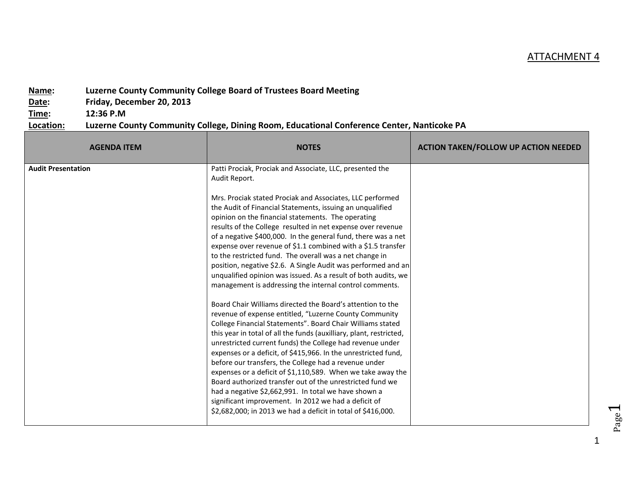## ATTACHMENT 4

## **Name: Luzerne County Community College Board of Trustees Board Meeting**

**Date: Friday, December 20, 2013**

**Time: 12:36 P.M**

## **Location: Luzerne County Community College, Dining Room, Educational Conference Center, Nanticoke PA**

| <b>AGENDA ITEM</b>        | <b>NOTES</b>                                                                                                                                                                                                                                                                                                                                                                                                                                                                                                                                                                                                                                                                                                                                                                                                                                                                                                                                                                                                                                                                                                                                                                                                                                                                                                                                                                                                                                                                        | <b>ACTION TAKEN/FOLLOW UP ACTION NEEDED</b> |
|---------------------------|-------------------------------------------------------------------------------------------------------------------------------------------------------------------------------------------------------------------------------------------------------------------------------------------------------------------------------------------------------------------------------------------------------------------------------------------------------------------------------------------------------------------------------------------------------------------------------------------------------------------------------------------------------------------------------------------------------------------------------------------------------------------------------------------------------------------------------------------------------------------------------------------------------------------------------------------------------------------------------------------------------------------------------------------------------------------------------------------------------------------------------------------------------------------------------------------------------------------------------------------------------------------------------------------------------------------------------------------------------------------------------------------------------------------------------------------------------------------------------------|---------------------------------------------|
| <b>Audit Presentation</b> | Patti Prociak, Prociak and Associate, LLC, presented the<br>Audit Report.<br>Mrs. Prociak stated Prociak and Associates, LLC performed<br>the Audit of Financial Statements, issuing an unqualified<br>opinion on the financial statements. The operating<br>results of the College resulted in net expense over revenue<br>of a negative \$400,000. In the general fund, there was a net<br>expense over revenue of \$1.1 combined with a \$1.5 transfer<br>to the restricted fund. The overall was a net change in<br>position, negative \$2.6. A Single Audit was performed and an<br>unqualified opinion was issued. As a result of both audits, we<br>management is addressing the internal control comments.<br>Board Chair Williams directed the Board's attention to the<br>revenue of expense entitled, "Luzerne County Community<br>College Financial Statements". Board Chair Williams stated<br>this year in total of all the funds (auxilliary, plant, restricted,<br>unrestricted current funds) the College had revenue under<br>expenses or a deficit, of \$415,966. In the unrestricted fund,<br>before our transfers, the College had a revenue under<br>expenses or a deficit of \$1,110,589. When we take away the<br>Board authorized transfer out of the unrestricted fund we<br>had a negative \$2,662,991. In total we have shown a<br>significant improvement. In 2012 we had a deficit of<br>\$2,682,000; in 2013 we had a deficit in total of \$416,000. |                                             |

1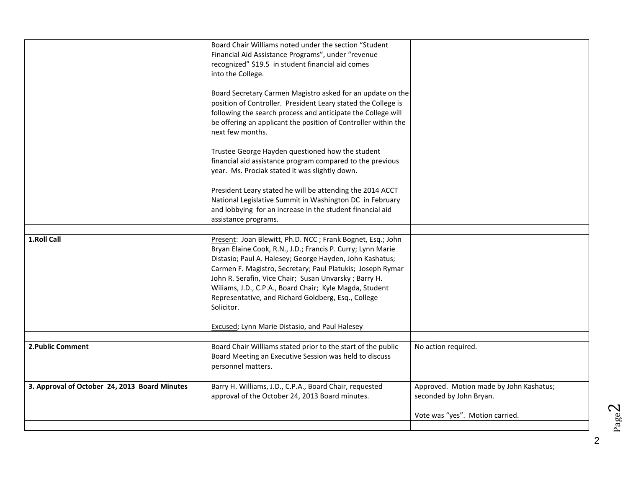|                                               | Board Chair Williams noted under the section "Student<br>Financial Aid Assistance Programs", under "revenue<br>recognized" \$19.5 in student financial aid comes<br>into the College.<br>Board Secretary Carmen Magistro asked for an update on the<br>position of Controller. President Leary stated the College is<br>following the search process and anticipate the College will<br>be offering an applicant the position of Controller within the<br>next few months.<br>Trustee George Hayden questioned how the student<br>financial aid assistance program compared to the previous<br>year. Ms. Prociak stated it was slightly down.<br>President Leary stated he will be attending the 2014 ACCT |                                                                    |
|-----------------------------------------------|------------------------------------------------------------------------------------------------------------------------------------------------------------------------------------------------------------------------------------------------------------------------------------------------------------------------------------------------------------------------------------------------------------------------------------------------------------------------------------------------------------------------------------------------------------------------------------------------------------------------------------------------------------------------------------------------------------|--------------------------------------------------------------------|
|                                               | National Legislative Summit in Washington DC in February<br>and lobbying for an increase in the student financial aid<br>assistance programs.                                                                                                                                                                                                                                                                                                                                                                                                                                                                                                                                                              |                                                                    |
|                                               |                                                                                                                                                                                                                                                                                                                                                                                                                                                                                                                                                                                                                                                                                                            |                                                                    |
| 1.Roll Call                                   | Present: Joan Blewitt, Ph.D. NCC; Frank Bognet, Esq.; John<br>Bryan Elaine Cook, R.N., J.D.; Francis P. Curry; Lynn Marie<br>Distasio; Paul A. Halesey; George Hayden, John Kashatus;<br>Carmen F. Magistro, Secretary; Paul Platukis; Joseph Rymar<br>John R. Serafin, Vice Chair; Susan Unvarsky; Barry H.<br>Wiliams, J.D., C.P.A., Board Chair; Kyle Magda, Student<br>Representative, and Richard Goldberg, Esq., College<br>Solicitor.                                                                                                                                                                                                                                                               |                                                                    |
|                                               | <b>Excused; Lynn Marie Distasio, and Paul Halesey</b>                                                                                                                                                                                                                                                                                                                                                                                                                                                                                                                                                                                                                                                      |                                                                    |
|                                               |                                                                                                                                                                                                                                                                                                                                                                                                                                                                                                                                                                                                                                                                                                            |                                                                    |
| 2. Public Comment                             | Board Chair Williams stated prior to the start of the public<br>Board Meeting an Executive Session was held to discuss<br>personnel matters.                                                                                                                                                                                                                                                                                                                                                                                                                                                                                                                                                               | No action required.                                                |
|                                               |                                                                                                                                                                                                                                                                                                                                                                                                                                                                                                                                                                                                                                                                                                            |                                                                    |
| 3. Approval of October 24, 2013 Board Minutes | Barry H. Williams, J.D., C.P.A., Board Chair, requested<br>approval of the October 24, 2013 Board minutes.                                                                                                                                                                                                                                                                                                                                                                                                                                                                                                                                                                                                 | Approved. Motion made by John Kashatus;<br>seconded by John Bryan. |
|                                               |                                                                                                                                                                                                                                                                                                                                                                                                                                                                                                                                                                                                                                                                                                            | Vote was "yes". Motion carried.                                    |
|                                               |                                                                                                                                                                                                                                                                                                                                                                                                                                                                                                                                                                                                                                                                                                            |                                                                    |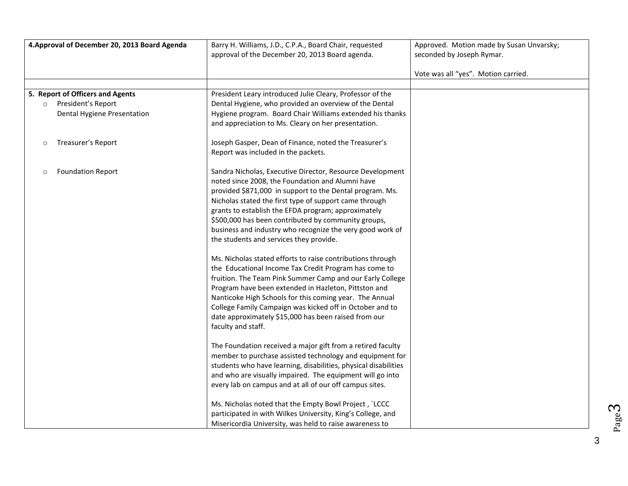| 4. Approval of December 20, 2013 Board Agenda | Barry H. Williams, J.D., C.P.A., Board Chair, requested                                                              | Approved. Motion made by Susan Unvarsky; |
|-----------------------------------------------|----------------------------------------------------------------------------------------------------------------------|------------------------------------------|
|                                               | approval of the December 20, 2013 Board agenda.                                                                      | seconded by Joseph Rymar.                |
|                                               |                                                                                                                      |                                          |
|                                               |                                                                                                                      | Vote was all "yes". Motion carried.      |
| 5. Report of Officers and Agents              | President Leary introduced Julie Cleary, Professor of the                                                            |                                          |
| President's Report<br>$\circ$                 | Dental Hygiene, who provided an overview of the Dental                                                               |                                          |
| Dental Hygiene Presentation                   | Hygiene program. Board Chair Williams extended his thanks                                                            |                                          |
|                                               | and appreciation to Ms. Cleary on her presentation.                                                                  |                                          |
|                                               |                                                                                                                      |                                          |
| Treasurer's Report<br>$\circ$                 | Joseph Gasper, Dean of Finance, noted the Treasurer's<br>Report was included in the packets.                         |                                          |
|                                               |                                                                                                                      |                                          |
| <b>Foundation Report</b><br>$\circ$           | Sandra Nicholas, Executive Director, Resource Development                                                            |                                          |
|                                               | noted since 2008, the Foundation and Alumni have                                                                     |                                          |
|                                               | provided \$871,000 in support to the Dental program. Ms.                                                             |                                          |
|                                               | Nicholas stated the first type of support came through                                                               |                                          |
|                                               | grants to establish the EFDA program; approximately                                                                  |                                          |
|                                               | \$500,000 has been contributed by community groups,                                                                  |                                          |
|                                               | business and industry who recognize the very good work of                                                            |                                          |
|                                               | the students and services they provide.                                                                              |                                          |
|                                               | Ms. Nicholas stated efforts to raise contributions through                                                           |                                          |
|                                               | the Educational Income Tax Credit Program has come to                                                                |                                          |
|                                               | fruition. The Team Pink Summer Camp and our Early College                                                            |                                          |
|                                               | Program have been extended in Hazleton, Pittston and                                                                 |                                          |
|                                               | Nanticoke High Schools for this coming year. The Annual                                                              |                                          |
|                                               | College Family Campaign was kicked off in October and to                                                             |                                          |
|                                               | date approximately \$15,000 has been raised from our                                                                 |                                          |
|                                               | faculty and staff.                                                                                                   |                                          |
|                                               | The Foundation received a major gift from a retired faculty                                                          |                                          |
|                                               | member to purchase assisted technology and equipment for                                                             |                                          |
|                                               | students who have learning, disabilities, physical disabilities                                                      |                                          |
|                                               | and who are visually impaired. The equipment will go into                                                            |                                          |
|                                               | every lab on campus and at all of our off campus sites.                                                              |                                          |
|                                               |                                                                                                                      |                                          |
|                                               | Ms. Nicholas noted that the Empty Bowl Project, `LCCC<br>participated in with Wilkes University, King's College, and |                                          |
|                                               | Misericordia University, was held to raise awareness to                                                              |                                          |
|                                               |                                                                                                                      |                                          |

Page ო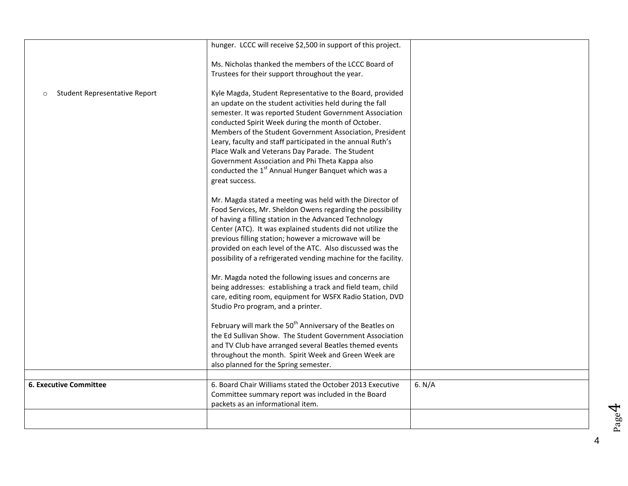|                                          | hunger. LCCC will receive \$2,500 in support of this project.                                                                                                                                                                                                                                                                                                                                                                                                                                                                                                |        |
|------------------------------------------|--------------------------------------------------------------------------------------------------------------------------------------------------------------------------------------------------------------------------------------------------------------------------------------------------------------------------------------------------------------------------------------------------------------------------------------------------------------------------------------------------------------------------------------------------------------|--------|
|                                          | Ms. Nicholas thanked the members of the LCCC Board of<br>Trustees for their support throughout the year.                                                                                                                                                                                                                                                                                                                                                                                                                                                     |        |
| Student Representative Report<br>$\circ$ | Kyle Magda, Student Representative to the Board, provided<br>an update on the student activities held during the fall<br>semester. It was reported Student Government Association<br>conducted Spirit Week during the month of October.<br>Members of the Student Government Association, President<br>Leary, faculty and staff participated in the annual Ruth's<br>Place Walk and Veterans Day Parade. The Student<br>Government Association and Phi Theta Kappa also<br>conducted the 1 <sup>st</sup> Annual Hunger Banquet which was a<br>great success. |        |
|                                          | Mr. Magda stated a meeting was held with the Director of<br>Food Services, Mr. Sheldon Owens regarding the possibility<br>of having a filling station in the Advanced Technology<br>Center (ATC). It was explained students did not utilize the<br>previous filling station; however a microwave will be<br>provided on each level of the ATC. Also discussed was the<br>possibility of a refrigerated vending machine for the facility.                                                                                                                     |        |
|                                          | Mr. Magda noted the following issues and concerns are<br>being addresses: establishing a track and field team, child<br>care, editing room, equipment for WSFX Radio Station, DVD<br>Studio Pro program, and a printer.                                                                                                                                                                                                                                                                                                                                      |        |
|                                          | February will mark the 50 <sup>th</sup> Anniversary of the Beatles on<br>the Ed Sullivan Show. The Student Government Association<br>and TV Club have arranged several Beatles themed events<br>throughout the month. Spirit Week and Green Week are<br>also planned for the Spring semester.                                                                                                                                                                                                                                                                |        |
|                                          |                                                                                                                                                                                                                                                                                                                                                                                                                                                                                                                                                              |        |
| <b>6. Executive Committee</b>            | 6. Board Chair Williams stated the October 2013 Executive<br>Committee summary report was included in the Board<br>packets as an informational item.                                                                                                                                                                                                                                                                                                                                                                                                         | 6. N/A |
|                                          |                                                                                                                                                                                                                                                                                                                                                                                                                                                                                                                                                              |        |
|                                          |                                                                                                                                                                                                                                                                                                                                                                                                                                                                                                                                                              |        |

4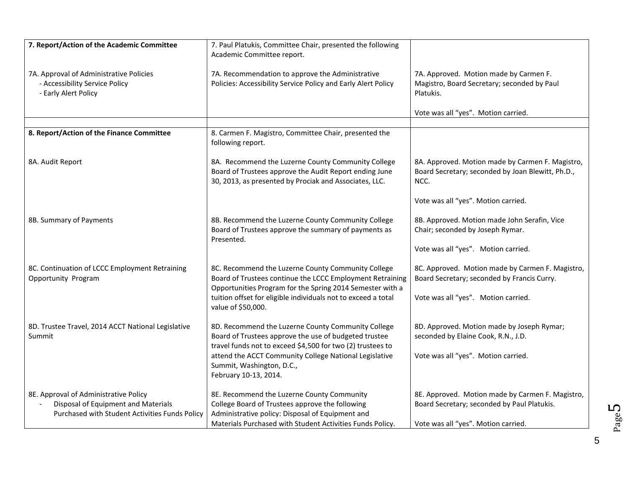| 7. Report/Action of the Academic Committee                                                                                     | 7. Paul Platukis, Committee Chair, presented the following                                                                                                                                                     |                                                                                                                                        |
|--------------------------------------------------------------------------------------------------------------------------------|----------------------------------------------------------------------------------------------------------------------------------------------------------------------------------------------------------------|----------------------------------------------------------------------------------------------------------------------------------------|
|                                                                                                                                | Academic Committee report.                                                                                                                                                                                     |                                                                                                                                        |
| 7A. Approval of Administrative Policies<br>- Accessibility Service Policy<br>- Early Alert Policy                              | 7A. Recommendation to approve the Administrative<br>Policies: Accessibility Service Policy and Early Alert Policy                                                                                              | 7A. Approved. Motion made by Carmen F.<br>Magistro, Board Secretary; seconded by Paul<br>Platukis.                                     |
|                                                                                                                                |                                                                                                                                                                                                                | Vote was all "yes". Motion carried.                                                                                                    |
|                                                                                                                                |                                                                                                                                                                                                                |                                                                                                                                        |
| 8. Report/Action of the Finance Committee                                                                                      | 8. Carmen F. Magistro, Committee Chair, presented the<br>following report.                                                                                                                                     |                                                                                                                                        |
| 8A. Audit Report                                                                                                               | 8A. Recommend the Luzerne County Community College<br>Board of Trustees approve the Audit Report ending June<br>30, 2013, as presented by Prociak and Associates, LLC.                                         | 8A. Approved. Motion made by Carmen F. Magistro,<br>Board Secretary; seconded by Joan Blewitt, Ph.D.,<br>NCC.                          |
|                                                                                                                                |                                                                                                                                                                                                                | Vote was all "yes". Motion carried.                                                                                                    |
| 8B. Summary of Payments                                                                                                        | 8B. Recommend the Luzerne County Community College<br>Board of Trustees approve the summary of payments as<br>Presented.                                                                                       | 8B. Approved. Motion made John Serafin, Vice<br>Chair; seconded by Joseph Rymar.                                                       |
|                                                                                                                                |                                                                                                                                                                                                                | Vote was all "yes". Motion carried.                                                                                                    |
| 8C. Continuation of LCCC Employment Retraining<br>Opportunity Program                                                          | 8C. Recommend the Luzerne County Community College<br>Board of Trustees continue the LCCC Employment Retraining<br>Opportunities Program for the Spring 2014 Semester with a                                   | 8C. Approved. Motion made by Carmen F. Magistro,<br>Board Secretary; seconded by Francis Curry.                                        |
|                                                                                                                                | tuition offset for eligible individuals not to exceed a total<br>value of \$50,000.                                                                                                                            | Vote was all "yes". Motion carried.                                                                                                    |
| 8D. Trustee Travel, 2014 ACCT National Legislative<br>Summit                                                                   | 8D. Recommend the Luzerne County Community College<br>Board of Trustees approve the use of budgeted trustee<br>travel funds not to exceed \$4,500 for two (2) trustees to                                      | 8D. Approved. Motion made by Joseph Rymar;<br>seconded by Elaine Cook, R.N., J.D.                                                      |
|                                                                                                                                | attend the ACCT Community College National Legislative<br>Summit, Washington, D.C.,<br>February 10-13, 2014.                                                                                                   | Vote was all "yes". Motion carried.                                                                                                    |
| 8E. Approval of Administrative Policy<br>Disposal of Equipment and Materials<br>Purchased with Student Activities Funds Policy | 8E. Recommend the Luzerne County Community<br>College Board of Trustees approve the following<br>Administrative policy: Disposal of Equipment and<br>Materials Purchased with Student Activities Funds Policy. | 8E. Approved. Motion made by Carmen F. Magistro,<br>Board Secretary; seconded by Paul Platukis.<br>Vote was all "yes". Motion carried. |

Page L∩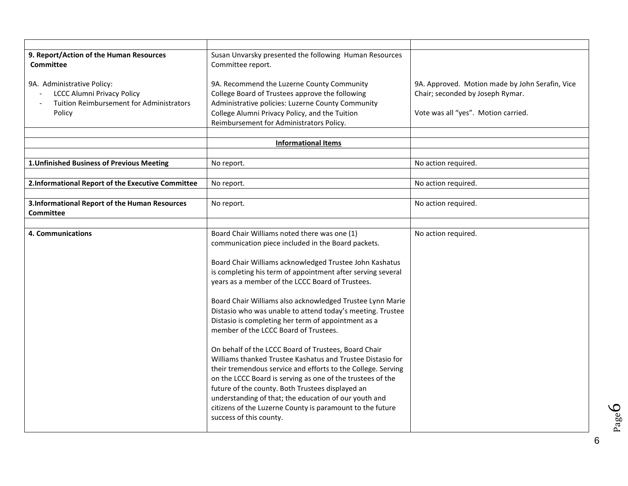| 9. Report/Action of the Human Resources                                                                               | Susan Unvarsky presented the following Human Resources                                                                                                                                                                                           |                                                                                                                            |
|-----------------------------------------------------------------------------------------------------------------------|--------------------------------------------------------------------------------------------------------------------------------------------------------------------------------------------------------------------------------------------------|----------------------------------------------------------------------------------------------------------------------------|
| <b>Committee</b>                                                                                                      | Committee report.                                                                                                                                                                                                                                |                                                                                                                            |
| 9A. Administrative Policy:<br><b>LCCC Alumni Privacy Policy</b><br>Tuition Reimbursement for Administrators<br>Policy | 9A. Recommend the Luzerne County Community<br>College Board of Trustees approve the following<br>Administrative policies: Luzerne County Community<br>College Alumni Privacy Policy, and the Tuition<br>Reimbursement for Administrators Policy. | 9A. Approved. Motion made by John Serafin, Vice<br>Chair; seconded by Joseph Rymar.<br>Vote was all "yes". Motion carried. |
|                                                                                                                       | <b>Informational Items</b>                                                                                                                                                                                                                       |                                                                                                                            |
|                                                                                                                       |                                                                                                                                                                                                                                                  |                                                                                                                            |
| 1. Unfinished Business of Previous Meeting                                                                            | No report.                                                                                                                                                                                                                                       | No action required.                                                                                                        |
|                                                                                                                       |                                                                                                                                                                                                                                                  |                                                                                                                            |
| 2.Informational Report of the Executive Committee                                                                     | No report.                                                                                                                                                                                                                                       | No action required.                                                                                                        |
|                                                                                                                       |                                                                                                                                                                                                                                                  |                                                                                                                            |
| 3. Informational Report of the Human Resources                                                                        | No report.                                                                                                                                                                                                                                       | No action required.                                                                                                        |
| <b>Committee</b>                                                                                                      |                                                                                                                                                                                                                                                  |                                                                                                                            |
| 4. Communications                                                                                                     | Board Chair Williams noted there was one (1)                                                                                                                                                                                                     | No action required.                                                                                                        |
|                                                                                                                       | communication piece included in the Board packets.                                                                                                                                                                                               |                                                                                                                            |
|                                                                                                                       |                                                                                                                                                                                                                                                  |                                                                                                                            |
|                                                                                                                       | Board Chair Williams acknowledged Trustee John Kashatus                                                                                                                                                                                          |                                                                                                                            |
|                                                                                                                       | is completing his term of appointment after serving several                                                                                                                                                                                      |                                                                                                                            |
|                                                                                                                       | years as a member of the LCCC Board of Trustees.                                                                                                                                                                                                 |                                                                                                                            |
|                                                                                                                       | Board Chair Williams also acknowledged Trustee Lynn Marie                                                                                                                                                                                        |                                                                                                                            |
|                                                                                                                       | Distasio who was unable to attend today's meeting. Trustee                                                                                                                                                                                       |                                                                                                                            |
|                                                                                                                       | Distasio is completing her term of appointment as a                                                                                                                                                                                              |                                                                                                                            |
|                                                                                                                       | member of the LCCC Board of Trustees.                                                                                                                                                                                                            |                                                                                                                            |
|                                                                                                                       |                                                                                                                                                                                                                                                  |                                                                                                                            |
|                                                                                                                       | On behalf of the LCCC Board of Trustees, Board Chair                                                                                                                                                                                             |                                                                                                                            |
|                                                                                                                       | Williams thanked Trustee Kashatus and Trustee Distasio for                                                                                                                                                                                       |                                                                                                                            |
|                                                                                                                       | their tremendous service and efforts to the College. Serving                                                                                                                                                                                     |                                                                                                                            |
|                                                                                                                       | on the LCCC Board is serving as one of the trustees of the<br>future of the county. Both Trustees displayed an                                                                                                                                   |                                                                                                                            |
|                                                                                                                       | understanding of that; the education of our youth and                                                                                                                                                                                            |                                                                                                                            |
|                                                                                                                       | citizens of the Luzerne County is paramount to the future                                                                                                                                                                                        |                                                                                                                            |
|                                                                                                                       | success of this county.                                                                                                                                                                                                                          |                                                                                                                            |
|                                                                                                                       |                                                                                                                                                                                                                                                  |                                                                                                                            |